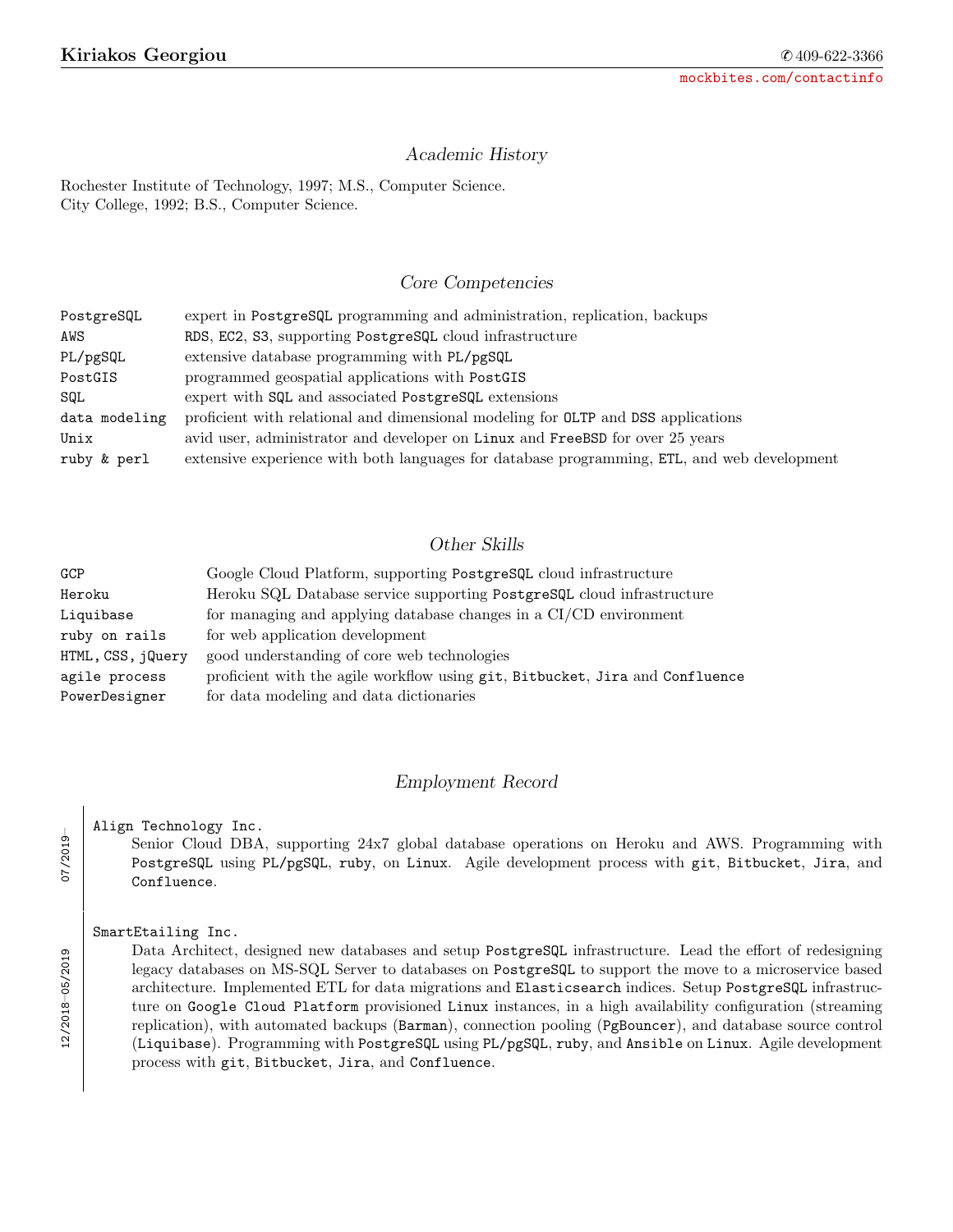### Academic History

Rochester Institute of Technology, 1997; M.S., Computer Science. City College, 1992; B.S., Computer Science.

## Core Competencies

| PostgreSQL    | expert in PostgreSQL programming and administration, replication, backups                   |
|---------------|---------------------------------------------------------------------------------------------|
| AWS           | RDS, EC2, S3, supporting PostgreSQL cloud infrastructure                                    |
| PL/pgSQL      | extensive database programming with PL/pgSQL                                                |
| PostGIS       | programmed geospatial applications with PostGIS                                             |
| SQL           | expert with SQL and associated PostgreSQL extensions                                        |
| data modeling | proficient with relational and dimensional modeling for OLTP and DSS applications           |
| Unix          | avid user, administrator and developer on Linux and FreeBSD for over 25 years               |
| ruby & perl   | extensive experience with both languages for database programming, ETL, and web development |

# Other Skills

| GCP               | Google Cloud Platform, supporting PostgreSQL cloud infrastructure            |
|-------------------|------------------------------------------------------------------------------|
| Heroku            | Heroku SQL Database service supporting PostgreSQL cloud infrastructure       |
| Liquibase         | for managing and applying database changes in a CI/CD environment            |
| ruby on rails     | for web application development                                              |
| HTML, CSS, jQuery | good understanding of core web technologies                                  |
| agile process     | proficient with the agile workflow using git, Bitbucket, Jira and Confluence |
| PowerDesigner     | for data modeling and data dictionaries                                      |

### Employment Record

Align Technology Inc.

Senior Cloud DBA, supporting 24x7 global database operations on Heroku and AWS. Programming with PostgreSQL using PL/pgSQL, ruby, on Linux. Agile development process with git, Bitbucket, Jira, and Confluence.

#### SmartEtailing Inc.

Data Architect, designed new databases and setup PostgreSQL infrastructure. Lead the effort of redesigning legacy databases on MS-SQL Server to databases on PostgreSQL to support the move to a microservice based architecture. Implemented ETL for data migrations and Elasticsearch indices. Setup PostgreSQL infrastructure on Google Cloud Platform provisioned Linux instances, in a high availability configuration (streaming replication), with automated backups (Barman), connection pooling (PgBouncer), and database source control (Liquibase). Programming with PostgreSQL using PL/pgSQL, ruby, and Ansible on Linux. Agile development process with git, Bitbucket, Jira, and Confluence.